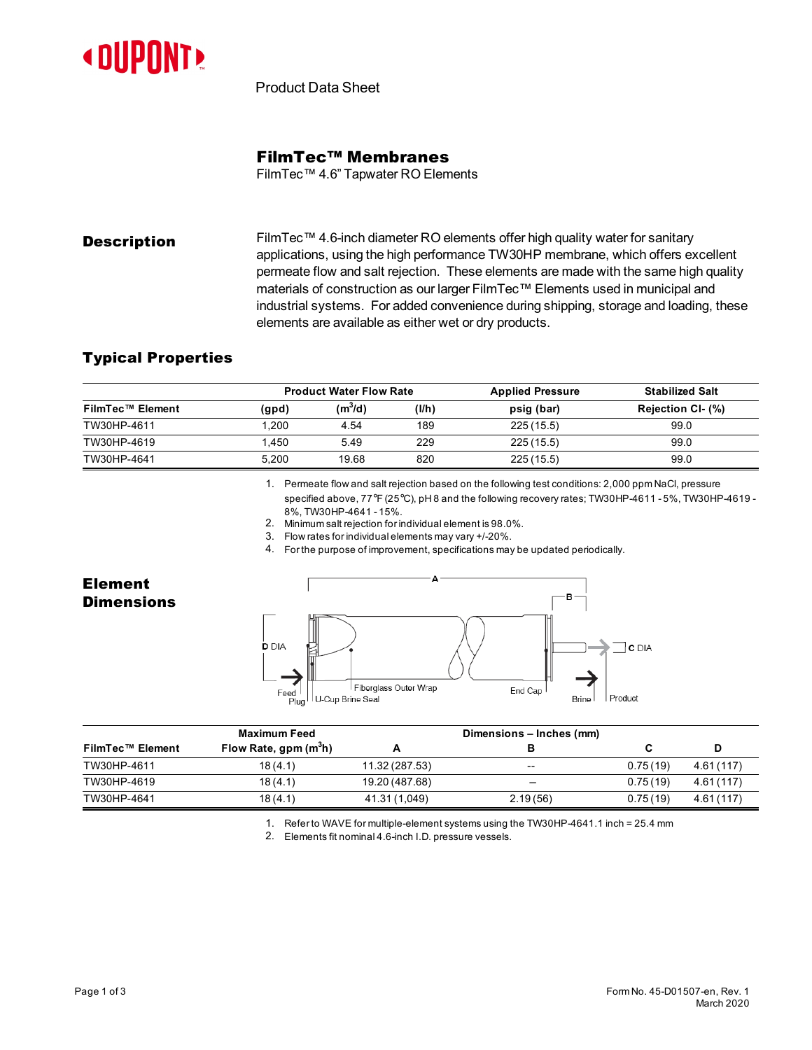

Product Data Sheet

## FilmTec™ Membranes

FilmTec™ 4.6" Tapwater RO Elements

**Description** FilmTec™ 4.6-inch diameter RO elements offer high quality water for sanitary applications, using the high performance TW30HP membrane, which offers excellent permeate flow and salt rejection. These elements are made with the same high quality materials of construction as our larger FilmTec™ Elements used in municipal and industrial systems. For added convenience during shipping, storage and loading, these elements are available as either wet or dry products.

## Typical Properties

| FilmTec™ Element | <b>Product Water Flow Rate</b> |           |       | <b>Applied Pressure</b> | <b>Stabilized Salt</b> |  |
|------------------|--------------------------------|-----------|-------|-------------------------|------------------------|--|
|                  | (gpd)                          | $(m^3/d)$ | (1/h) | psig (bar)              | Rejection CI- (%)      |  |
| TW30HP-4611      | .200                           | 4.54      | 189   | 225(15.5)               | 99.0                   |  |
| TW30HP-4619      | 1.450                          | 5.49      | 229   | 225(15.5)               | 99.0                   |  |
| TW30HP-4641      | 5.200                          | 19.68     | 820   | 225(15.5)               | 99.0                   |  |

1. Permeate flow and salt rejection based on the following test conditions: 2,000 ppm NaCl, pressure specified above, 77°F (25°C), pH 8 and the following recovery rates; TW30HP-4611 -5%, TW30HP-4619 - 8%, TW30HP-4641 -15%.

2. Minimum salt rejection for individualelement is98.0%.

3. Flow rates for individualelements may vary +/-20%.

4. For the purpose of improvement, specifications maybe updated periodically.

## Element **Dimensions**



|                  | Maximum Feed                      |                | Dimensions – Inches (mm) |          |           |
|------------------|-----------------------------------|----------------|--------------------------|----------|-----------|
| FilmTec™ Element | Flow Rate, gpm (m <sup>3</sup> h) |                |                          |          | D         |
| TW30HP-4611      | 18(4.1)                           | 11.32 (287.53) | $\overline{\phantom{a}}$ | 0.75(19) | 4.61(117) |
| TW30HP-4619      | 18(4.1)                           | 19.20 (487.68) | $\overline{\phantom{0}}$ | 0.75(19) | 4.61(117) |
| TW30HP-4641      | 18(4.1)                           | 41.31 (1,049)  | 2.19(56)                 | 0.75(19) | 4.61(117) |

1. Refer to WAVE for multiple-element systemsusing the TW30HP-4641.1 inch = 25.4 mm

2. Elements fit nominal4.6-inch I.D. pressure vessels.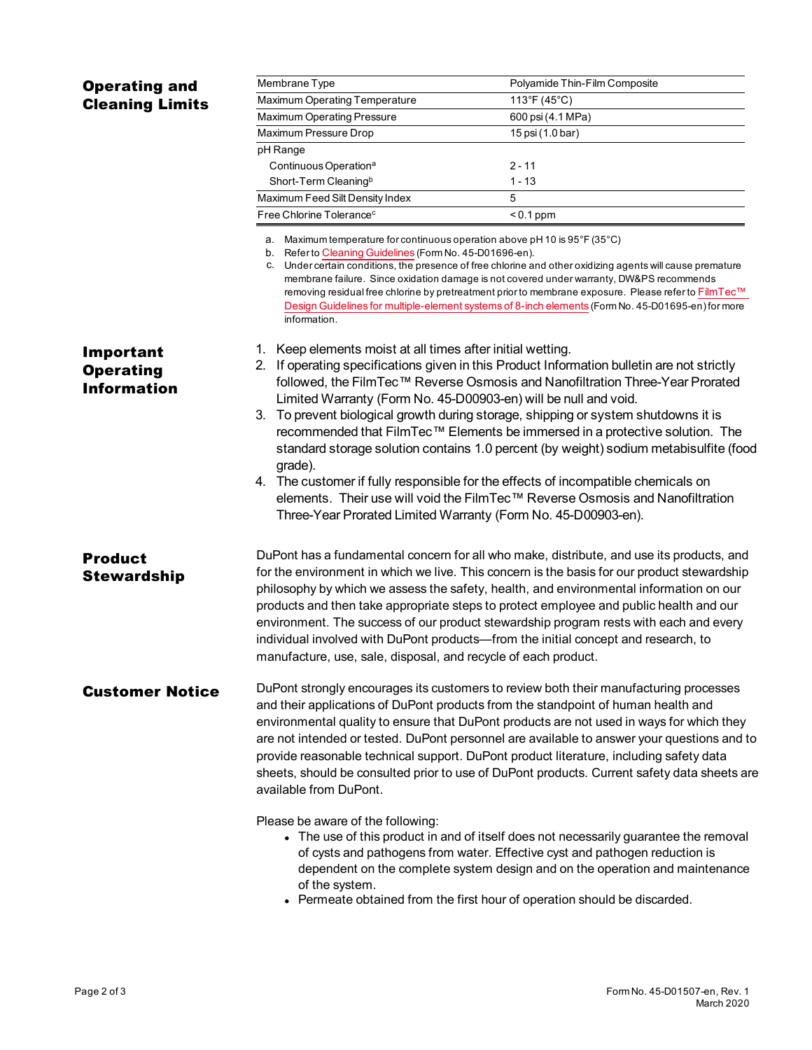| <b>Operating and</b>                                                                              | Membrane Type                                                                                                                                                                                                                                                                                                                                                                                                                        | Polyamide Thin-Film Composite                                                            |  |  |  |  |  |
|---------------------------------------------------------------------------------------------------|--------------------------------------------------------------------------------------------------------------------------------------------------------------------------------------------------------------------------------------------------------------------------------------------------------------------------------------------------------------------------------------------------------------------------------------|------------------------------------------------------------------------------------------|--|--|--|--|--|
| <b>Cleaning Limits</b>                                                                            | Maximum Operating Temperature                                                                                                                                                                                                                                                                                                                                                                                                        | 113°F (45°C)                                                                             |  |  |  |  |  |
|                                                                                                   | Maximum Operating Pressure                                                                                                                                                                                                                                                                                                                                                                                                           | 600 psi (4.1 MPa)                                                                        |  |  |  |  |  |
|                                                                                                   | Maximum Pressure Drop                                                                                                                                                                                                                                                                                                                                                                                                                | 15 psi (1.0 bar)                                                                         |  |  |  |  |  |
|                                                                                                   | pH Range                                                                                                                                                                                                                                                                                                                                                                                                                             |                                                                                          |  |  |  |  |  |
|                                                                                                   | Continuous Operation <sup>a</sup>                                                                                                                                                                                                                                                                                                                                                                                                    | 2 - 11                                                                                   |  |  |  |  |  |
|                                                                                                   | Short-Term Cleaning <sup>b</sup>                                                                                                                                                                                                                                                                                                                                                                                                     | $1 - 13$                                                                                 |  |  |  |  |  |
|                                                                                                   | Maximum Feed Silt Density Index                                                                                                                                                                                                                                                                                                                                                                                                      | 5                                                                                        |  |  |  |  |  |
|                                                                                                   | Free Chlorine Tolerance <sup>c</sup>                                                                                                                                                                                                                                                                                                                                                                                                 | $< 0.1$ ppm                                                                              |  |  |  |  |  |
|                                                                                                   |                                                                                                                                                                                                                                                                                                                                                                                                                                      |                                                                                          |  |  |  |  |  |
|                                                                                                   | a. Maximum temperature for continuous operation above pH 10 is 95°F (35°C)<br>b. Refer to Cleaning Guidelines (Form No. 45-D01696-en).                                                                                                                                                                                                                                                                                               |                                                                                          |  |  |  |  |  |
|                                                                                                   | c. Under certain conditions, the presence of free chlorine and other oxidizing agents will cause premature<br>membrane failure. Since oxidation damage is not covered under warranty, DW&PS recommends<br>removing residual free chlorine by pretreatment prior to membrane exposure. Please refer to FilmTec™<br>Design Guidelines for multiple-element systems of 8-inch elements (Form No. 45-D01695-en) for more<br>information. |                                                                                          |  |  |  |  |  |
|                                                                                                   |                                                                                                                                                                                                                                                                                                                                                                                                                                      |                                                                                          |  |  |  |  |  |
| Important                                                                                         | Keep elements moist at all times after initial wetting.<br>1.<br>2. If operating specifications given in this Product Information bulletin are not strictly                                                                                                                                                                                                                                                                          |                                                                                          |  |  |  |  |  |
| <b>Operating</b><br>followed, the FilmTec™ Reverse Osmosis and Nanofiltration Three-Year Prorated |                                                                                                                                                                                                                                                                                                                                                                                                                                      |                                                                                          |  |  |  |  |  |
| <b>Information</b>                                                                                |                                                                                                                                                                                                                                                                                                                                                                                                                                      |                                                                                          |  |  |  |  |  |
|                                                                                                   | Limited Warranty (Form No. 45-D00903-en) will be null and void.<br>3.                                                                                                                                                                                                                                                                                                                                                                |                                                                                          |  |  |  |  |  |
|                                                                                                   | To prevent biological growth during storage, shipping or system shutdowns it is<br>recommended that FilmTec™ Elements be immersed in a protective solution. The                                                                                                                                                                                                                                                                      |                                                                                          |  |  |  |  |  |
|                                                                                                   | standard storage solution contains 1.0 percent (by weight) sodium metabisulfite (food<br>grade).                                                                                                                                                                                                                                                                                                                                     |                                                                                          |  |  |  |  |  |
|                                                                                                   | 4. The customer if fully responsible for the effects of incompatible chemicals on                                                                                                                                                                                                                                                                                                                                                    |                                                                                          |  |  |  |  |  |
|                                                                                                   | elements. Their use will void the FilmTec™ Reverse Osmosis and Nanofiltration                                                                                                                                                                                                                                                                                                                                                        |                                                                                          |  |  |  |  |  |
|                                                                                                   |                                                                                                                                                                                                                                                                                                                                                                                                                                      |                                                                                          |  |  |  |  |  |
|                                                                                                   | Three-Year Prorated Limited Warranty (Form No. 45-D00903-en).                                                                                                                                                                                                                                                                                                                                                                        |                                                                                          |  |  |  |  |  |
| <b>Product</b>                                                                                    |                                                                                                                                                                                                                                                                                                                                                                                                                                      | DuPont has a fundamental concern for all who make, distribute, and use its products, and |  |  |  |  |  |
| <b>Stewardship</b>                                                                                | for the environment in which we live. This concern is the basis for our product stewardship                                                                                                                                                                                                                                                                                                                                          |                                                                                          |  |  |  |  |  |
|                                                                                                   | philosophy by which we assess the safety, health, and environmental information on our                                                                                                                                                                                                                                                                                                                                               |                                                                                          |  |  |  |  |  |
|                                                                                                   | products and then take appropriate steps to protect employee and public health and our                                                                                                                                                                                                                                                                                                                                               |                                                                                          |  |  |  |  |  |
|                                                                                                   | environment. The success of our product stewardship program rests with each and every                                                                                                                                                                                                                                                                                                                                                |                                                                                          |  |  |  |  |  |
|                                                                                                   | individual involved with DuPont products-from the initial concept and research, to                                                                                                                                                                                                                                                                                                                                                   |                                                                                          |  |  |  |  |  |
|                                                                                                   | manufacture, use, sale, disposal, and recycle of each product.                                                                                                                                                                                                                                                                                                                                                                       |                                                                                          |  |  |  |  |  |
|                                                                                                   |                                                                                                                                                                                                                                                                                                                                                                                                                                      |                                                                                          |  |  |  |  |  |
| <b>Customer Notice</b>                                                                            | DuPont strongly encourages its customers to review both their manufacturing processes<br>and their applications of DuPont products from the standpoint of human health and                                                                                                                                                                                                                                                           |                                                                                          |  |  |  |  |  |
|                                                                                                   | environmental quality to ensure that DuPont products are not used in ways for which they                                                                                                                                                                                                                                                                                                                                             |                                                                                          |  |  |  |  |  |
|                                                                                                   | are not intended or tested. DuPont personnel are available to answer your questions and to                                                                                                                                                                                                                                                                                                                                           |                                                                                          |  |  |  |  |  |
|                                                                                                   | provide reasonable technical support. DuPont product literature, including safety data                                                                                                                                                                                                                                                                                                                                               |                                                                                          |  |  |  |  |  |
|                                                                                                   | sheets, should be consulted prior to use of DuPont products. Current safety data sheets are<br>available from DuPont.                                                                                                                                                                                                                                                                                                                |                                                                                          |  |  |  |  |  |
|                                                                                                   | Please be aware of the following:                                                                                                                                                                                                                                                                                                                                                                                                    |                                                                                          |  |  |  |  |  |
|                                                                                                   | • The use of this product in and of itself does not necessarily guarantee the removal<br>of cysts and pathogens from water. Effective cyst and pathogen reduction is<br>dependent on the complete system design and on the operation and maintenance                                                                                                                                                                                 |                                                                                          |  |  |  |  |  |
|                                                                                                   | of the system.                                                                                                                                                                                                                                                                                                                                                                                                                       |                                                                                          |  |  |  |  |  |
|                                                                                                   |                                                                                                                                                                                                                                                                                                                                                                                                                                      |                                                                                          |  |  |  |  |  |

• Permeate obtained from the first hour of operation should be discarded.